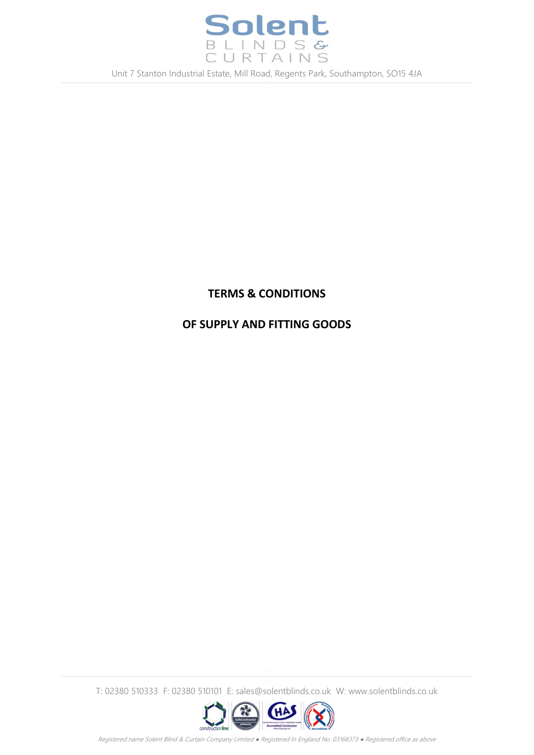

# **TERMS & CONDITIONS**

# **OF SUPPLY AND FITTING GOODS**

-

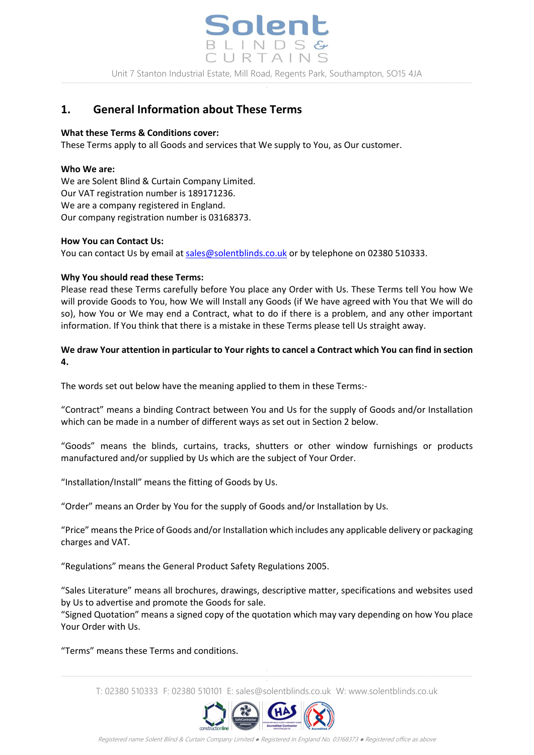

# **1. General Information about These Terms**

#### **What these Terms & Conditions cover:**

These Terms apply to all Goods and services that We supply to You, as Our customer.

#### **Who We are:**

We are Solent Blind & Curtain Company Limited. Our VAT registration number is 189171236. We are a company registered in England. Our company registration number is 03168373.

#### **How You can Contact Us:**

You can contact Us by email at [sales@solentblinds.co.uk](mailto:sales@solentblinds.co.uk) or by telephone on 02380 510333.

#### **Why You should read these Terms:**

Please read these Terms carefully before You place any Order with Us. These Terms tell You how We will provide Goods to You, how We will Install any Goods (if We have agreed with You that We will do so), how You or We may end a Contract, what to do if there is a problem, and any other important information. If You think that there is a mistake in these Terms please tell Us straight away.

#### **We draw Your attention in particular to Your rights to cancel a Contract which You can find in section 4.**

The words set out below have the meaning applied to them in these Terms:-

"Contract" means a binding Contract between You and Us for the supply of Goods and/or Installation which can be made in a number of different ways as set out in Section 2 below.

"Goods" means the blinds, curtains, tracks, shutters or other window furnishings or products manufactured and/or supplied by Us which are the subject of Your Order.

"Installation/Install" means the fitting of Goods by Us.

"Order" means an Order by You for the supply of Goods and/or Installation by Us.

"Price" means the Price of Goods and/or Installation which includes any applicable delivery or packaging charges and VAT.

"Regulations" means the General Product Safety Regulations 2005.

"Sales Literature" means all brochures, drawings, descriptive matter, specifications and websites used by Us to advertise and promote the Goods for sale.

"Signed Quotation" means a signed copy of the quotation which may vary depending on how You place Your Order with Us.

"Terms" means these Terms and conditions.

T: 02380 510333 F: 02380 510101 E: sales@solentblinds.co.uk W: www.solentblinds.co.uk

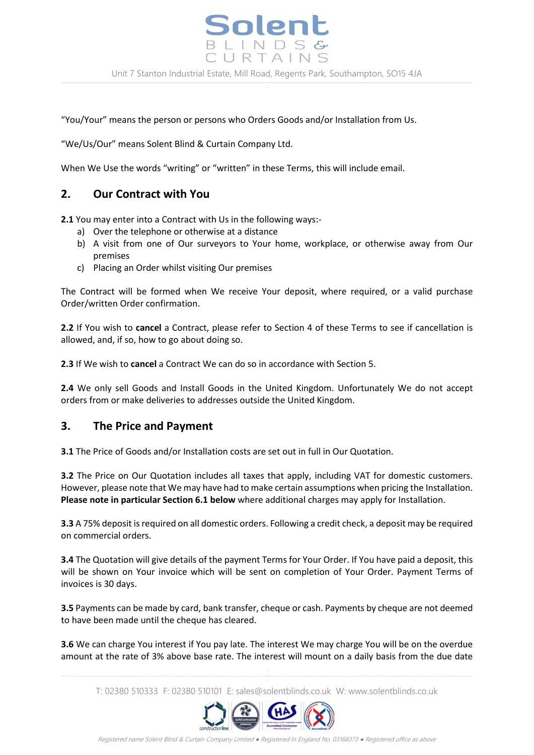

"You/Your" means the person or persons who Orders Goods and/or Installation from Us.

"We/Us/Our" means Solent Blind & Curtain Company Ltd.

When We Use the words "writing" or "written" in these Terms, this will include email.

### **2. Our Contract with You**

**2.1** You may enter into a Contract with Us in the following ways:-

- a) Over the telephone or otherwise at a distance
- b) A visit from one of Our surveyors to Your home, workplace, or otherwise away from Our premises
- c) Placing an Order whilst visiting Our premises

The Contract will be formed when We receive Your deposit, where required, or a valid purchase Order/written Order confirmation.

**2.2** If You wish to **cancel** a Contract, please refer to Section 4 of these Terms to see if cancellation is allowed, and, if so, how to go about doing so.

**2.3** If We wish to **cancel** a Contract We can do so in accordance with Section 5.

**2.4** We only sell Goods and Install Goods in the United Kingdom. Unfortunately We do not accept orders from or make deliveries to addresses outside the United Kingdom.

#### **3. The Price and Payment**

**3.1** The Price of Goods and/or Installation costs are set out in full in Our Quotation.

**3.2** The Price on Our Quotation includes all taxes that apply, including VAT for domestic customers. However, please note that We may have had to make certain assumptions when pricing the Installation. **Please note in particular Section 6.1 below** where additional charges may apply for Installation.

**3.3** A 75% deposit is required on all domestic orders. Following a credit check, a deposit may be required on commercial orders.

**3.4** The Quotation will give details of the payment Terms for Your Order. If You have paid a deposit, this will be shown on Your invoice which will be sent on completion of Your Order. Payment Terms of invoices is 30 days.

**3.5** Payments can be made by card, bank transfer, cheque or cash. Payments by cheque are not deemed to have been made until the cheque has cleared.

**3.6** We can charge You interest if You pay late. The interest We may charge You will be on the overdue amount at the rate of 3% above base rate. The interest will mount on a daily basis from the due date

T: 02380 510333 F: 02380 510101 E: sales@solentblinds.co.uk W: www.solentblinds.co.uk

-

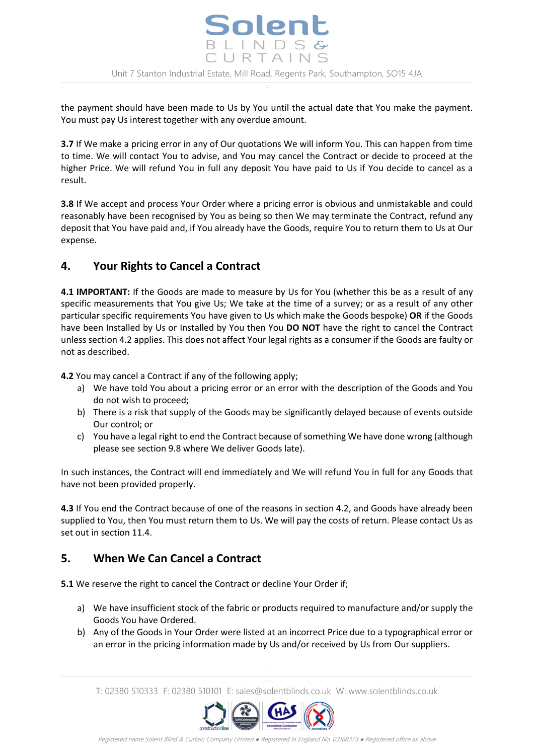the payment should have been made to Us by You until the actual date that You make the payment. You must pay Us interest together with any overdue amount.

**3.7** If We make a pricing error in any of Our quotations We will inform You. This can happen from time to time. We will contact You to advise, and You may cancel the Contract or decide to proceed at the higher Price. We will refund You in full any deposit You have paid to Us if You decide to cancel as a result.

**3.8** If We accept and process Your Order where a pricing error is obvious and unmistakable and could reasonably have been recognised by You as being so then We may terminate the Contract, refund any deposit that You have paid and, if You already have the Goods, require You to return them to Us at Our expense.

# **4. Your Rights to Cancel a Contract**

**4.1 IMPORTANT:** If the Goods are made to measure by Us for You (whether this be as a result of any specific measurements that You give Us; We take at the time of a survey; or as a result of any other particular specific requirements You have given to Us which make the Goods bespoke) **OR** if the Goods have been Installed by Us or Installed by You then You **DO NOT** have the right to cancel the Contract unless section 4.2 applies. This does not affect Your legal rights as a consumer if the Goods are faulty or not as described.

**4.2** You may cancel a Contract if any of the following apply;

- a) We have told You about a pricing error or an error with the description of the Goods and You do not wish to proceed;
- b) There is a risk that supply of the Goods may be significantly delayed because of events outside Our control; or
- c) You have a legal right to end the Contract because of something We have done wrong (although please see section 9.8 where We deliver Goods late).

In such instances, the Contract will end immediately and We will refund You in full for any Goods that have not been provided properly.

**4.3** If You end the Contract because of one of the reasons in section 4.2, and Goods have already been supplied to You, then You must return them to Us. We will pay the costs of return. Please contact Us as set out in section 11.4.

# **5. When We Can Cancel a Contract**

**5.1** We reserve the right to cancel the Contract or decline Your Order if;

- a) We have insufficient stock of the fabric or products required to manufacture and/or supply the Goods You have Ordered.
- b) Any of the Goods in Your Order were listed at an incorrect Price due to a typographical error or an error in the pricing information made by Us and/or received by Us from Our suppliers.

T: 02380 510333 F: 02380 510101 E: sales@solentblinds.co.uk W: www.solentblinds.co.uk

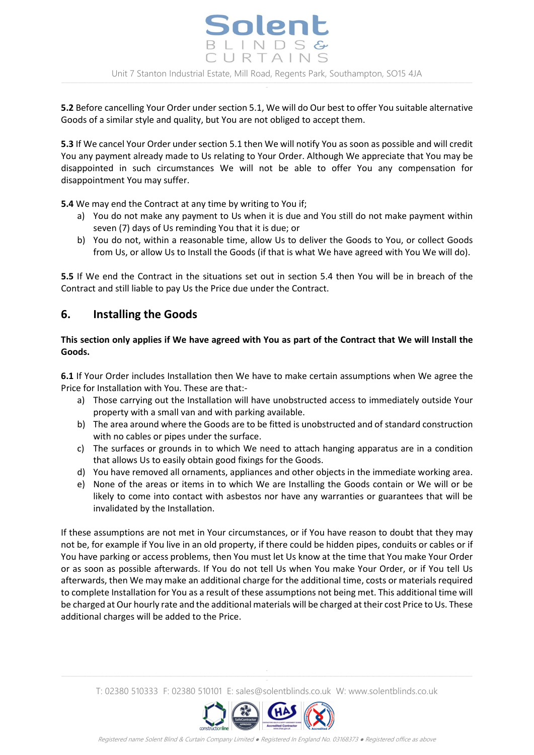**5.2** Before cancelling Your Order under section 5.1, We will do Our best to offer You suitable alternative Goods of a similar style and quality, but You are not obliged to accept them.

**5.3** If We cancel Your Order under section 5.1 then We will notify You as soon as possible and will credit You any payment already made to Us relating to Your Order. Although We appreciate that You may be disappointed in such circumstances We will not be able to offer You any compensation for disappointment You may suffer.

**5.4** We may end the Contract at any time by writing to You if;

- a) You do not make any payment to Us when it is due and You still do not make payment within seven (7) days of Us reminding You that it is due; or
- b) You do not, within a reasonable time, allow Us to deliver the Goods to You, or collect Goods from Us, or allow Us to Install the Goods (if that is what We have agreed with You We will do).

**5.5** If We end the Contract in the situations set out in section 5.4 then You will be in breach of the Contract and still liable to pay Us the Price due under the Contract.

# **6. Installing the Goods**

#### **This section only applies if We have agreed with You as part of the Contract that We will Install the Goods.**

**6.1** If Your Order includes Installation then We have to make certain assumptions when We agree the Price for Installation with You. These are that:-

- a) Those carrying out the Installation will have unobstructed access to immediately outside Your property with a small van and with parking available.
- b) The area around where the Goods are to be fitted is unobstructed and of standard construction with no cables or pipes under the surface.
- c) The surfaces or grounds in to which We need to attach hanging apparatus are in a condition that allows Us to easily obtain good fixings for the Goods.
- d) You have removed all ornaments, appliances and other objects in the immediate working area.
- e) None of the areas or items in to which We are Installing the Goods contain or We will or be likely to come into contact with asbestos nor have any warranties or guarantees that will be invalidated by the Installation.

If these assumptions are not met in Your circumstances, or if You have reason to doubt that they may not be, for example if You live in an old property, if there could be hidden pipes, conduits or cables or if You have parking or access problems, then You must let Us know at the time that You make Your Order or as soon as possible afterwards. If You do not tell Us when You make Your Order, or if You tell Us afterwards, then We may make an additional charge for the additional time, costs or materials required to complete Installation for You as a result of these assumptions not being met. This additional time will be charged at Our hourly rate and the additional materials will be charged at their cost Price to Us. These additional charges will be added to the Price.

T: 02380 510333 F: 02380 510101 E: sales@solentblinds.co.uk W: www.solentblinds.co.uk

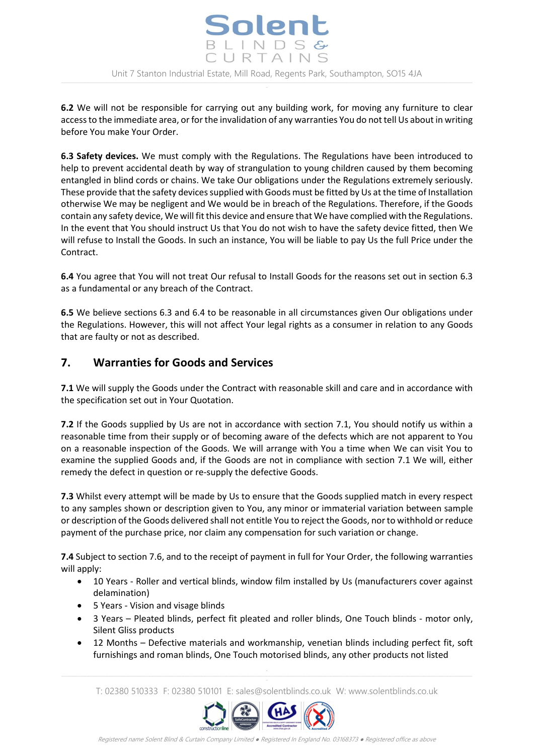

**6.2** We will not be responsible for carrying out any building work, for moving any furniture to clear access to the immediate area, or for the invalidation of any warranties You do not tell Us about in writing before You make Your Order.

**6.3 Safety devices.** We must comply with the Regulations. The Regulations have been introduced to help to prevent accidental death by way of strangulation to young children caused by them becoming entangled in blind cords or chains. We take Our obligations under the Regulations extremely seriously. These provide that the safety devices supplied with Goods must be fitted by Us at the time of Installation otherwise We may be negligent and We would be in breach of the Regulations. Therefore, if the Goods contain any safety device, We will fit this device and ensure that We have complied with the Regulations. In the event that You should instruct Us that You do not wish to have the safety device fitted, then We will refuse to Install the Goods. In such an instance, You will be liable to pay Us the full Price under the Contract.

**6.4** You agree that You will not treat Our refusal to Install Goods for the reasons set out in section 6.3 as a fundamental or any breach of the Contract.

**6.5** We believe sections 6.3 and 6.4 to be reasonable in all circumstances given Our obligations under the Regulations. However, this will not affect Your legal rights as a consumer in relation to any Goods that are faulty or not as described.

# **7. Warranties for Goods and Services**

**7.1** We will supply the Goods under the Contract with reasonable skill and care and in accordance with the specification set out in Your Quotation.

**7.2** If the Goods supplied by Us are not in accordance with section 7.1, You should notify us within a reasonable time from their supply or of becoming aware of the defects which are not apparent to You on a reasonable inspection of the Goods. We will arrange with You a time when We can visit You to examine the supplied Goods and, if the Goods are not in compliance with section 7.1 We will, either remedy the defect in question or re-supply the defective Goods.

**7.3** Whilst every attempt will be made by Us to ensure that the Goods supplied match in every respect to any samples shown or description given to You, any minor or immaterial variation between sample or description of the Goods delivered shall not entitle You to reject the Goods, nor to withhold or reduce payment of the purchase price, nor claim any compensation for such variation or change.

**7.4** Subject to section 7.6, and to the receipt of payment in full for Your Order, the following warranties will apply:

- 10 Years Roller and vertical blinds, window film installed by Us (manufacturers cover against delamination)
- 5 Years Vision and visage blinds
- 3 Years Pleated blinds, perfect fit pleated and roller blinds, One Touch blinds motor only, Silent Gliss products
- 12 Months Defective materials and workmanship, venetian blinds including perfect fit, soft furnishings and roman blinds, One Touch motorised blinds, any other products not listed

T: 02380 510333 F: 02380 510101 E: sales@solentblinds.co.uk W: www.solentblinds.co.uk

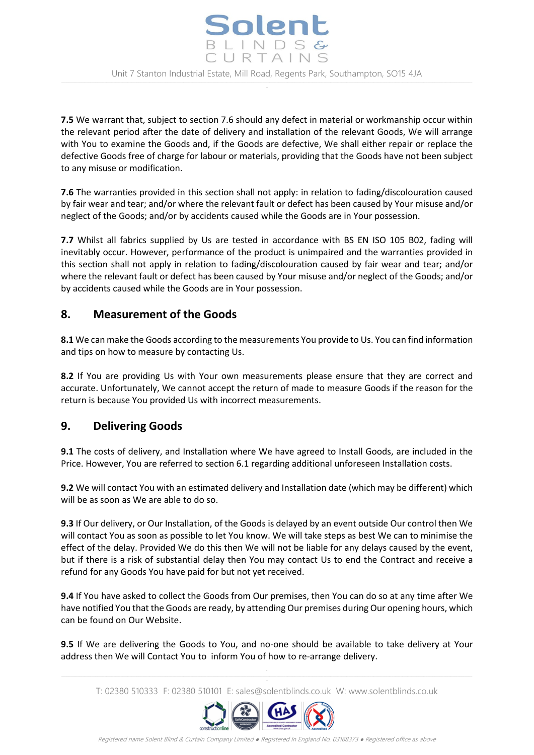

**7.5** We warrant that, subject to section 7.6 should any defect in material or workmanship occur within the relevant period after the date of delivery and installation of the relevant Goods, We will arrange with You to examine the Goods and, if the Goods are defective, We shall either repair or replace the defective Goods free of charge for labour or materials, providing that the Goods have not been subject to any misuse or modification.

**7.6** The warranties provided in this section shall not apply: in relation to fading/discolouration caused by fair wear and tear; and/or where the relevant fault or defect has been caused by Your misuse and/or neglect of the Goods; and/or by accidents caused while the Goods are in Your possession.

**7.7** Whilst all fabrics supplied by Us are tested in accordance with BS EN ISO 105 B02, fading will inevitably occur. However, performance of the product is unimpaired and the warranties provided in this section shall not apply in relation to fading/discolouration caused by fair wear and tear; and/or where the relevant fault or defect has been caused by Your misuse and/or neglect of the Goods; and/or by accidents caused while the Goods are in Your possession.

### **8. Measurement of the Goods**

**8.1** We can make the Goods according to the measurements You provide to Us. You can find information and tips on how to measure by contacting Us.

**8.2** If You are providing Us with Your own measurements please ensure that they are correct and accurate. Unfortunately, We cannot accept the return of made to measure Goods if the reason for the return is because You provided Us with incorrect measurements.

#### **9. Delivering Goods**

**9.1** The costs of delivery, and Installation where We have agreed to Install Goods, are included in the Price. However, You are referred to section 6.1 regarding additional unforeseen Installation costs.

**9.2** We will contact You with an estimated delivery and Installation date (which may be different) which will be as soon as We are able to do so.

**9.3** If Our delivery, or Our Installation, of the Goods is delayed by an event outside Our control then We will contact You as soon as possible to let You know. We will take steps as best We can to minimise the effect of the delay. Provided We do this then We will not be liable for any delays caused by the event, but if there is a risk of substantial delay then You may contact Us to end the Contract and receive a refund for any Goods You have paid for but not yet received.

**9.4** If You have asked to collect the Goods from Our premises, then You can do so at any time after We have notified You that the Goods are ready, by attending Our premises during Our opening hours, which can be found on Our Website.

**9.5** If We are delivering the Goods to You, and no-one should be available to take delivery at Your address then We will Contact You to inform You of how to re-arrange delivery.

T: 02380 510333 F: 02380 510101 E: sales@solentblinds.co.uk W: www.solentblinds.co.uk

-

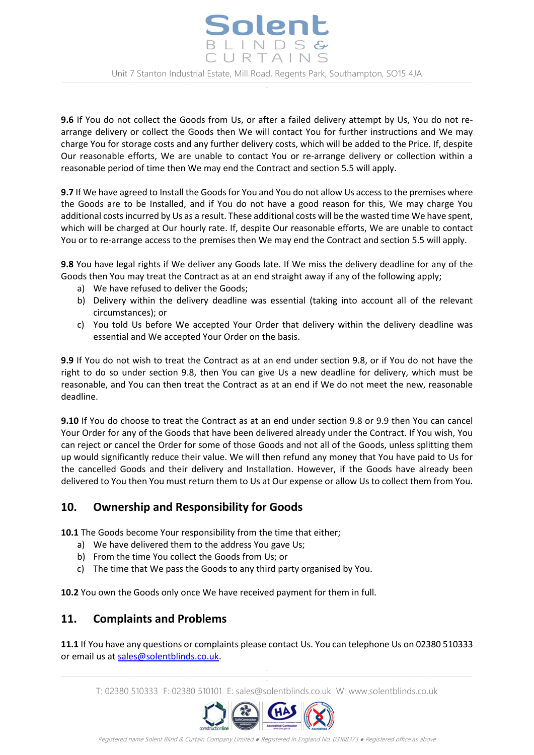

**9.6** If You do not collect the Goods from Us, or after a failed delivery attempt by Us, You do not rearrange delivery or collect the Goods then We will contact You for further instructions and We may charge You for storage costs and any further delivery costs, which will be added to the Price. If, despite Our reasonable efforts, We are unable to contact You or re-arrange delivery or collection within a reasonable period of time then We may end the Contract and section 5.5 will apply.

**9.7** If We have agreed to Install the Goods for You and You do not allow Us access to the premises where the Goods are to be Installed, and if You do not have a good reason for this, We may charge You additional costs incurred by Us as a result. These additional costs will be the wasted time We have spent, which will be charged at Our hourly rate. If, despite Our reasonable efforts, We are unable to contact You or to re-arrange access to the premises then We may end the Contract and section 5.5 will apply.

**9.8** You have legal rights if We deliver any Goods late. If We miss the delivery deadline for any of the Goods then You may treat the Contract as at an end straight away if any of the following apply;

- a) We have refused to deliver the Goods;
- b) Delivery within the delivery deadline was essential (taking into account all of the relevant circumstances); or
- c) You told Us before We accepted Your Order that delivery within the delivery deadline was essential and We accepted Your Order on the basis.

**9.9** If You do not wish to treat the Contract as at an end under section 9.8, or if You do not have the right to do so under section 9.8, then You can give Us a new deadline for delivery, which must be reasonable, and You can then treat the Contract as at an end if We do not meet the new, reasonable deadline.

**9.10** If You do choose to treat the Contract as at an end under section 9.8 or 9.9 then You can cancel Your Order for any of the Goods that have been delivered already under the Contract. If You wish, You can reject or cancel the Order for some of those Goods and not all of the Goods, unless splitting them up would significantly reduce their value. We will then refund any money that You have paid to Us for the cancelled Goods and their delivery and Installation. However, if the Goods have already been delivered to You then You must return them to Us at Our expense or allow Us to collect them from You.

# **10. Ownership and Responsibility for Goods**

**10.1** The Goods become Your responsibility from the time that either;

- a) We have delivered them to the address You gave Us;
- b) From the time You collect the Goods from Us; or
- c) The time that We pass the Goods to any third party organised by You.

**10.2** You own the Goods only once We have received payment for them in full.

# **11. Complaints and Problems**

**11.1** If You have any questions or complaints please contact Us. You can telephone Us on 02380 510333 or email us at [sales@solentblinds.co.uk.](mailto:sales@solentblinds.co.uk)

T: 02380 510333 F: 02380 510101 E: sales@solentblinds.co.uk W: www.solentblinds.co.uk

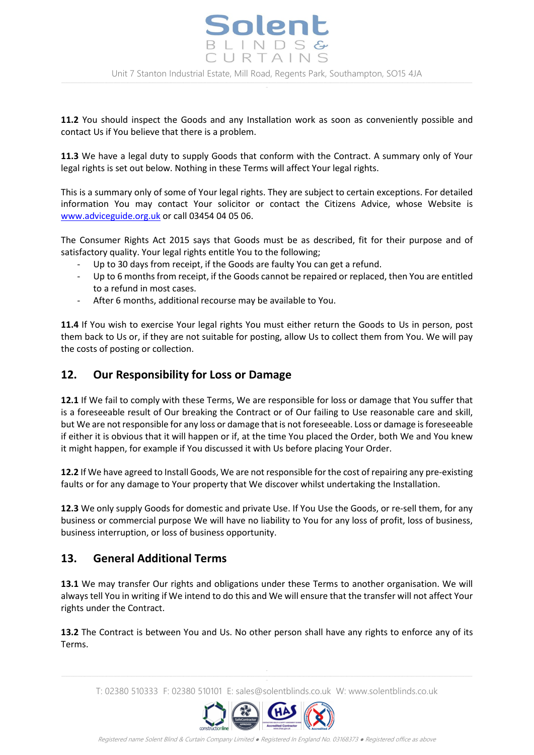

**11.2** You should inspect the Goods and any Installation work as soon as conveniently possible and contact Us if You believe that there is a problem.

**11.3** We have a legal duty to supply Goods that conform with the Contract. A summary only of Your legal rights is set out below. Nothing in these Terms will affect Your legal rights.

This is a summary only of some of Your legal rights. They are subject to certain exceptions. For detailed information You may contact Your solicitor or contact the Citizens Advice, whose Website is [www.adviceguide.org.uk](http://www.adviceguide.org.uk/) or call 03454 04 05 06.

The Consumer Rights Act 2015 says that Goods must be as described, fit for their purpose and of satisfactory quality. Your legal rights entitle You to the following;

- Up to 30 days from receipt, if the Goods are faulty You can get a refund.
- Up to 6 months from receipt, if the Goods cannot be repaired or replaced, then You are entitled to a refund in most cases.
- After 6 months, additional recourse may be available to You.

**11.4** If You wish to exercise Your legal rights You must either return the Goods to Us in person, post them back to Us or, if they are not suitable for posting, allow Us to collect them from You. We will pay the costs of posting or collection.

### **12. Our Responsibility for Loss or Damage**

**12.1** If We fail to comply with these Terms, We are responsible for loss or damage that You suffer that is a foreseeable result of Our breaking the Contract or of Our failing to Use reasonable care and skill, but We are not responsible for any loss or damage that is not foreseeable. Loss or damage is foreseeable if either it is obvious that it will happen or if, at the time You placed the Order, both We and You knew it might happen, for example if You discussed it with Us before placing Your Order.

**12.2** If We have agreed to Install Goods, We are not responsible for the cost of repairing any pre-existing faults or for any damage to Your property that We discover whilst undertaking the Installation.

**12.3** We only supply Goods for domestic and private Use. If You Use the Goods, or re-sell them, for any business or commercial purpose We will have no liability to You for any loss of profit, loss of business, business interruption, or loss of business opportunity.

# **13. General Additional Terms**

**13.1** We may transfer Our rights and obligations under these Terms to another organisation. We will always tell You in writing if We intend to do this and We will ensure that the transfer will not affect Your rights under the Contract.

**13.2** The Contract is between You and Us. No other person shall have any rights to enforce any of its Terms.

T: 02380 510333 F: 02380 510101 E: sales@solentblinds.co.uk W: www.solentblinds.co.uk